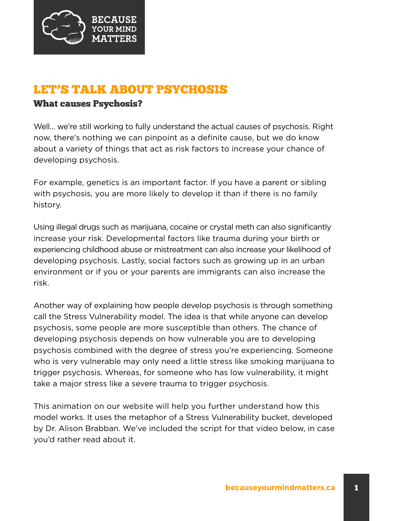

## LET'S TALK ABOUT PSYCHOSIS

## What causes Psychosis?

Well… we're still working to fully understand the actual causes of psychosis. Right now, there's nothing we can pinpoint as a definite cause, but we do know about a variety of things that act as risk factors to increase your chance of developing psychosis.

For example, genetics is an important factor. If you have a parent or sibling with psychosis, you are more likely to develop it than if there is no family history.

Using illegal drugs such as marijuana, cocaine or crystal meth can also significantly increase your risk. Developmental factors like trauma during your birth or experiencing childhood abuse or mistreatment can also increase your likelihood of developing psychosis. Lastly, social factors such as growing up in an urban environment or if you or your parents are immigrants can also increase the risk.

Another way of explaining how people develop psychosis is through something call the Stress Vulnerability model. The idea is that while anyone can develop psychosis, some people are more susceptible than others. The chance of developing psychosis depends on how vulnerable you are to developing psychosis combined with the degree of stress you're experiencing. Someone who is very vulnerable may only need a little stress like smoking marijuana to trigger psychosis. Whereas, for someone who has low vulnerability, it might take a major stress like a severe trauma to trigger psychosis.

This animation on our website will help you further understand how this model works. It uses the metaphor of a Stress Vulnerability bucket, developed by Dr. Alison Brabban. We've included the script for that video below, in case you'd rather read about it.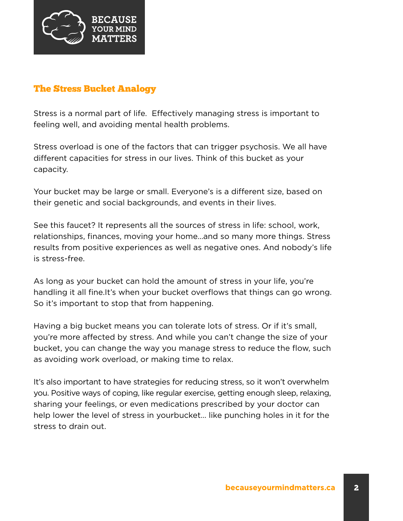

## The Stress Bucket Analogy

Stress is a normal part of life. Effectively managing stress is important to feeling well, and avoiding mental health problems.

Stress overload is one of the factors that can trigger psychosis. We all have different capacities for stress in our lives. Think of this bucket as your capacity.

Your bucket may be large or small. Everyone's is a different size, based on their genetic and social backgrounds, and events in their lives.

See this faucet? It represents all the sources of stress in life: school, work, relationships, finances, moving your home…and so many more things. Stress results from positive experiences as well as negative ones. And nobody's life is stress-free.

As long as your bucket can hold the amount of stress in your life, you're handling it all fine.It's when your bucket overflows that things can go wrong. So it's important to stop that from happening.

Having a big bucket means you can tolerate lots of stress. Or if it's small, you're more affected by stress. And while you can't change the size of your bucket, you can change the way you manage stress to reduce the flow, such as avoiding work overload, or making time to relax.

It's also important to have strategies for reducing stress, so it won't overwhelm you. Positive ways of coping, like regular exercise, getting enough sleep, relaxing, sharing your feelings, or even medications prescribed by your doctor can help lower the level of stress in yourbucket… like punching holes in it for the stress to drain out.